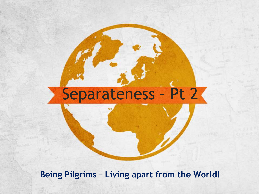# Separateness - Pt 2

**Being Pilgrims – Living apart from the World!**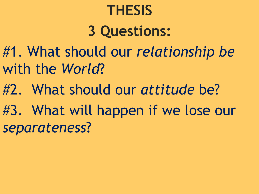# **THESIS**

# **3 Questions:**

- #1. What should our *relationship be* with the *World*?
- #2. What should our *attitude* be?
- #3. What will happen if we lose our *separateness*?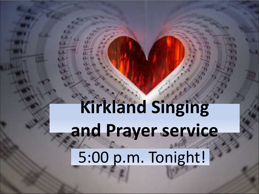# **Kirkland Singing and Prayer service** 5:00 p.m. Tonight!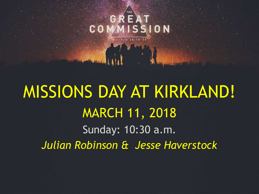# MISSIONS DAY AT KIRKLAND! MARCH 11, 2018 Sunday: 10:30 a.m. *Julian Robinson & Jesse Haverstock*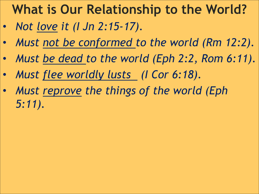### **What is Our Relationship to the World?**

- *Not love it (I Jn 2:15-17).*
- *Must not be conformed to the world (Rm 12:2).*
- *Must be dead to the world (Eph 2:2, Rom 6:11).*
- *Must flee worldly lusts (I Cor 6:18).*
- *Must reprove the things of the world (Eph 5:11).*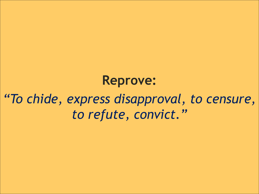**Reprove:**  *"To chide, express disapproval, to censure, to refute, convict."*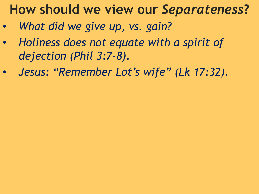#### **How should we view our** *Separateness***?**

- *What did we give up, vs. gain?*
- *Holiness does not equate with a spirit of dejection (Phil 3:7-8).*
- *Jesus: "Remember Lot's wife" (Lk 17:32).*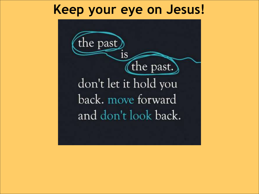#### **Keep your eye on Jesus!**

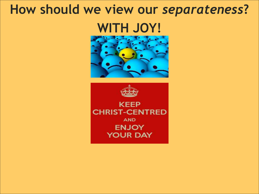### **How should we view our** *separateness***?**

### **WITH JOY!**



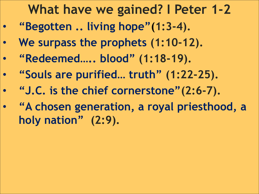#### **What have we gained? I Peter 1-2**

- **"Begotten .. living hope"(1:3-4).**
- **We surpass the prophets (1:10-12).**
- **"Redeemed….. blood" (1:18-19).**
- **"Souls are purified… truth" (1:22-25).**
- **"J.C. is the chief cornerstone"(2:6-7).**
- **"A chosen generation, a royal priesthood, a holy nation" (2:9).**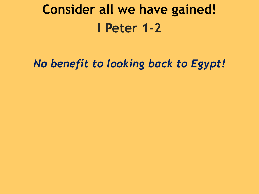## **Consider all we have gained! I Peter 1-2**

#### *No benefit to looking back to Egypt!*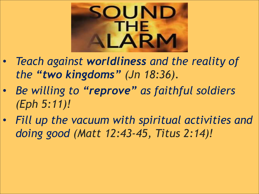

- *Teach against worldliness and the reality of the "two kingdoms" (Jn 18:36).*
- *Be willing to "reprove" as faithful soldiers (Eph 5:11)!*
- *Fill up the vacuum with spiritual activities and doing good (Matt 12:43-45, Titus 2:14)!*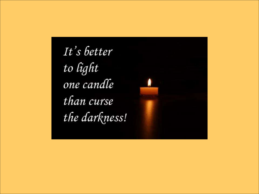It's better to light one candle than curse the darkness!

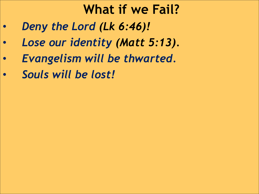#### **What if we Fail?**

- *Deny the Lord (Lk 6:46)!*
- *Lose our identity (Matt 5:13).*
- *Evangelism will be thwarted.*
- *Souls will be lost!*